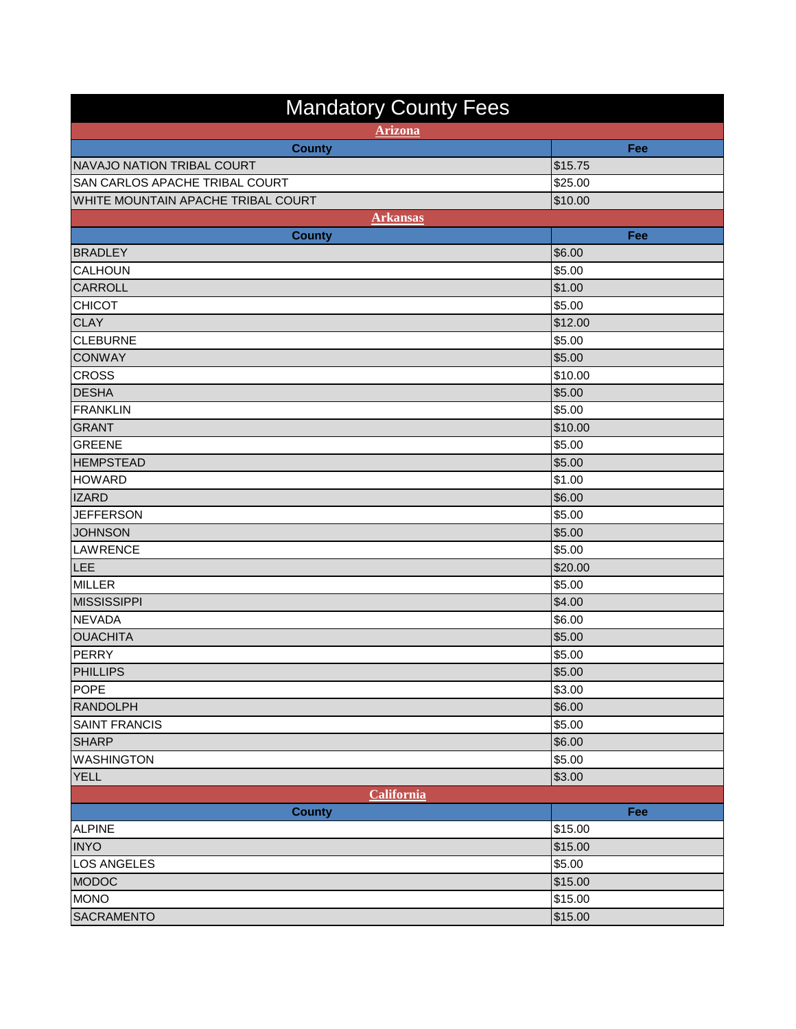| <b>Mandatory County Fees</b>       |         |  |
|------------------------------------|---------|--|
| <b>Arizona</b>                     |         |  |
| <b>County</b>                      | Fee     |  |
| NAVAJO NATION TRIBAL COURT         | \$15.75 |  |
| SAN CARLOS APACHE TRIBAL COURT     | 325.00  |  |
| WHITE MOUNTAIN APACHE TRIBAL COURT | \$10.00 |  |
| <b>Arkansas</b>                    |         |  |
| <b>County</b>                      | Fee     |  |
| <b>BRADLEY</b>                     | \$6.00  |  |
| <b>CALHOUN</b>                     | \$5.00  |  |
| <b>CARROLL</b>                     | \$1.00  |  |
| <b>CHICOT</b>                      | \$5.00  |  |
| <b>CLAY</b>                        | \$12.00 |  |
| CLEBURNE                           | \$5.00  |  |
| <b>CONWAY</b>                      | \$5.00  |  |
| <b>CROSS</b>                       | \$10.00 |  |
| <b>DESHA</b>                       | \$5.00  |  |
| <b>FRANKLIN</b>                    | \$5.00  |  |
| <b>GRANT</b>                       | \$10.00 |  |
| <b>GREENE</b>                      | \$5.00  |  |
| <b>HEMPSTEAD</b>                   | \$5.00  |  |
| <b>HOWARD</b>                      | \$1.00  |  |
| <b>IZARD</b>                       | \$6.00  |  |
| <b>JEFFERSON</b>                   | \$5.00  |  |
| <b>JOHNSON</b>                     | \$5.00  |  |
| LAWRENCE                           | \$5.00  |  |
| LEE                                | \$20.00 |  |
| <b>MILLER</b>                      | \$5.00  |  |
| <b>MISSISSIPPI</b>                 | \$4.00  |  |
| <b>NEVADA</b>                      | \$6.00  |  |
| <b>OUACHITA</b>                    | \$5.00  |  |
| <b>PERRY</b>                       | \$5.00  |  |
| <b>PHILLIPS</b>                    | \$5.00  |  |
| <b>POPE</b>                        | \$3.00  |  |
| <b>RANDOLPH</b>                    | \$6.00  |  |
| <b>SAINT FRANCIS</b>               | \$5.00  |  |
| <b>SHARP</b>                       | \$6.00  |  |
| <b>WASHINGTON</b>                  | \$5.00  |  |
| <b>YELL</b>                        | \$3.00  |  |
| California                         |         |  |
| <b>County</b>                      | Fee     |  |
| ALPINE                             | \$15.00 |  |
| <b>INYO</b>                        | \$15.00 |  |
| LOS ANGELES                        | \$5.00  |  |
| <b>MODOC</b>                       | \$15.00 |  |
| <b>MONO</b>                        | \$15.00 |  |
| <b>SACRAMENTO</b>                  | \$15.00 |  |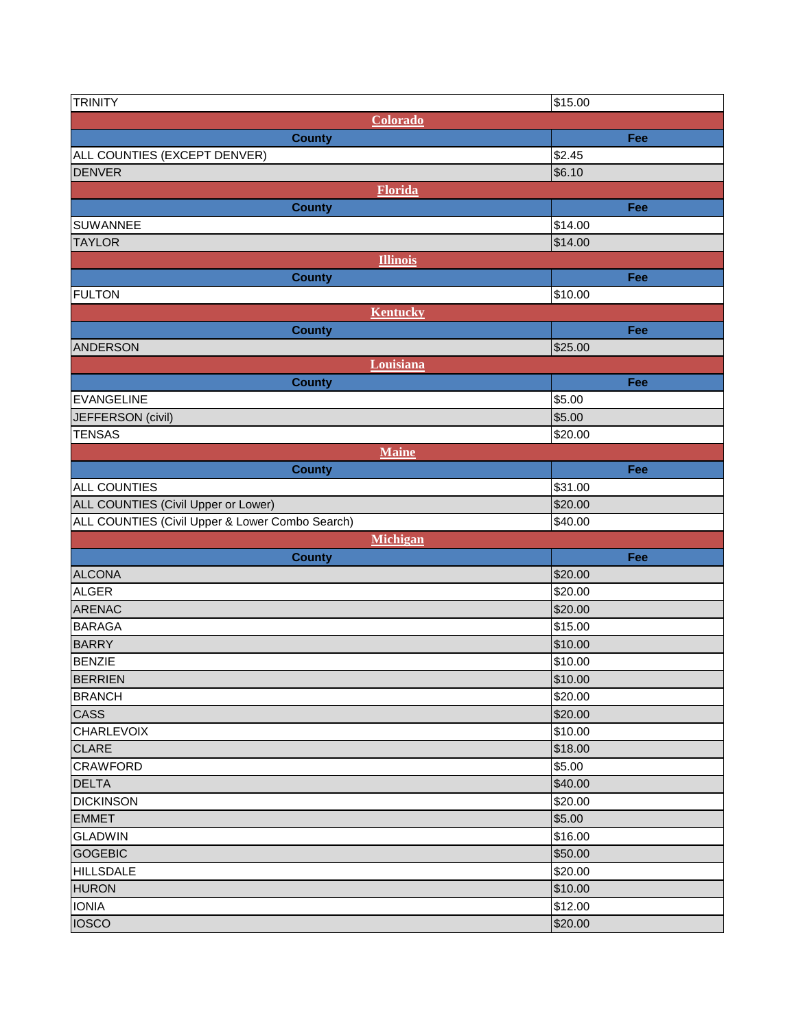| <b>TRINITY</b>                                  | \$15.00 |
|-------------------------------------------------|---------|
| Colorado                                        |         |
| <b>County</b>                                   | Fee     |
| ALL COUNTIES (EXCEPT DENVER)                    | \$2.45  |
| <b>DENVER</b>                                   | \$6.10  |
| <b>Florida</b>                                  |         |
| <b>County</b>                                   | Fee     |
| <b>SUWANNEE</b>                                 | \$14.00 |
| <b>TAYLOR</b>                                   | \$14.00 |
| <b>Illinois</b>                                 |         |
| <b>County</b>                                   | Fee     |
| <b>FULTON</b>                                   | \$10.00 |
| <b>Kentucky</b>                                 |         |
| <b>County</b>                                   | Fee     |
| <b>ANDERSON</b>                                 | \$25.00 |
| Louisiana                                       |         |
| <b>County</b>                                   | Fee     |
| <b>EVANGELINE</b>                               | \$5.00  |
| JEFFERSON (civil)                               | \$5.00  |
| <b>TENSAS</b>                                   | \$20.00 |
| <b>Maine</b>                                    |         |
| <b>County</b>                                   | Fee     |
| <b>ALL COUNTIES</b>                             | \$31.00 |
| ALL COUNTIES (Civil Upper or Lower)             | \$20.00 |
| ALL COUNTIES (Civil Upper & Lower Combo Search) | \$40.00 |
| Michigan                                        |         |
| <b>County</b>                                   | Fee     |
| <b>ALCONA</b>                                   | \$20.00 |
| <b>ALGER</b>                                    | \$20.00 |
| <b>ARENAC</b>                                   | \$20.00 |
| <b>BARAGA</b>                                   | \$15.00 |
| <b>BARRY</b>                                    | \$10.00 |
| <b>BENZIE</b>                                   | \$10.00 |
| <b>BERRIEN</b>                                  | \$10.00 |
| <b>BRANCH</b>                                   | \$20.00 |
| <b>CASS</b>                                     | \$20.00 |
| <b>CHARLEVOIX</b>                               | \$10.00 |
| <b>CLARE</b>                                    | \$18.00 |
| <b>CRAWFORD</b>                                 | \$5.00  |
| <b>DELTA</b>                                    | \$40.00 |
| <b>DICKINSON</b>                                | \$20.00 |
| <b>EMMET</b>                                    | \$5.00  |
| <b>GLADWIN</b>                                  | \$16.00 |
| <b>GOGEBIC</b>                                  | \$50.00 |
| <b>HILLSDALE</b>                                | \$20.00 |
| <b>HURON</b>                                    | \$10.00 |
| <b>IONIA</b>                                    | \$12.00 |
| <b>IOSCO</b>                                    | \$20.00 |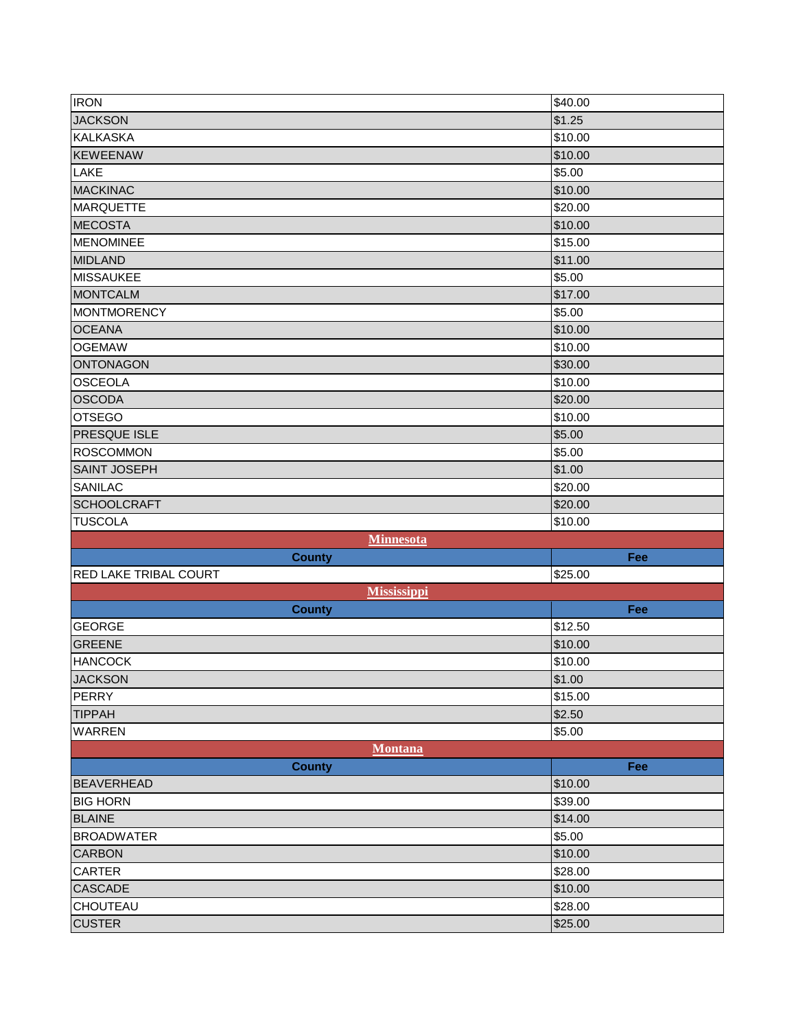| \$1.25<br><b>KALKASKA</b><br>\$10.00<br><b>KEWEENAW</b><br>\$10.00<br>LAKE<br>\$5.00<br>\$10.00<br><b>MARQUETTE</b><br>\$20.00<br><b>MECOSTA</b><br>\$10.00<br><b>MENOMINEE</b><br>\$15.00<br>\$11.00<br>\$5.00<br>\$17.00<br><b>MONTMORENCY</b><br>\$5.00<br><b>OCEANA</b><br>\$10.00<br><b>OGEMAW</b><br>\$10.00<br><b>ONTONAGON</b><br>\$30.00<br><b>OSCEOLA</b><br>\$10.00<br><b>OSCODA</b><br>\$20.00<br><b>OTSEGO</b><br>\$10.00<br>\$5.00<br><b>ROSCOMMON</b><br>\$5.00<br><b>SAINT JOSEPH</b><br>\$1.00<br><b>SANILAC</b><br>\$20.00<br>\$20.00<br>\$10.00<br><b>Minnesota</b><br>Fee<br><b>County</b><br>\$25.00<br><b>Mississippi</b><br>Fee<br><b>County</b><br><b>GEORGE</b><br>\$12.50<br>\$10.00<br><b>HANCOCK</b><br>\$10.00<br><b>JACKSON</b><br>\$1.00<br>\$15.00<br>\$2.50<br>WARREN<br>\$5.00<br>Montana<br><b>County</b><br>Fee<br>\$10.00<br><b>BIG HORN</b><br>\$39.00<br>\$14.00<br><b>BROADWATER</b><br>\$5.00<br><b>CARBON</b><br>\$10.00<br><b>CARTER</b><br>\$28.00<br><b>CASCADE</b><br>\$10.00<br><b>CHOUTEAU</b><br>\$28.00<br><b>CUSTER</b><br>\$25.00 | <b>IRON</b>    | \$40.00 |
|---------------------------------------------------------------------------------------------------------------------------------------------------------------------------------------------------------------------------------------------------------------------------------------------------------------------------------------------------------------------------------------------------------------------------------------------------------------------------------------------------------------------------------------------------------------------------------------------------------------------------------------------------------------------------------------------------------------------------------------------------------------------------------------------------------------------------------------------------------------------------------------------------------------------------------------------------------------------------------------------------------------------------------------------------------------------------------------|----------------|---------|
|                                                                                                                                                                                                                                                                                                                                                                                                                                                                                                                                                                                                                                                                                                                                                                                                                                                                                                                                                                                                                                                                                       | <b>JACKSON</b> |         |
| <b>MACKINAC</b><br><b>MIDLAND</b><br><b>MISSAUKEE</b><br><b>MONTCALM</b><br><b>PRESQUE ISLE</b><br><b>SCHOOLCRAFT</b><br><b>TUSCOLA</b><br><b>RED LAKE TRIBAL COURT</b><br><b>GREENE</b><br><b>PERRY</b><br><b>TIPPAH</b><br><b>BEAVERHEAD</b><br><b>BLAINE</b>                                                                                                                                                                                                                                                                                                                                                                                                                                                                                                                                                                                                                                                                                                                                                                                                                       |                |         |
|                                                                                                                                                                                                                                                                                                                                                                                                                                                                                                                                                                                                                                                                                                                                                                                                                                                                                                                                                                                                                                                                                       |                |         |
|                                                                                                                                                                                                                                                                                                                                                                                                                                                                                                                                                                                                                                                                                                                                                                                                                                                                                                                                                                                                                                                                                       |                |         |
|                                                                                                                                                                                                                                                                                                                                                                                                                                                                                                                                                                                                                                                                                                                                                                                                                                                                                                                                                                                                                                                                                       |                |         |
|                                                                                                                                                                                                                                                                                                                                                                                                                                                                                                                                                                                                                                                                                                                                                                                                                                                                                                                                                                                                                                                                                       |                |         |
|                                                                                                                                                                                                                                                                                                                                                                                                                                                                                                                                                                                                                                                                                                                                                                                                                                                                                                                                                                                                                                                                                       |                |         |
|                                                                                                                                                                                                                                                                                                                                                                                                                                                                                                                                                                                                                                                                                                                                                                                                                                                                                                                                                                                                                                                                                       |                |         |
|                                                                                                                                                                                                                                                                                                                                                                                                                                                                                                                                                                                                                                                                                                                                                                                                                                                                                                                                                                                                                                                                                       |                |         |
|                                                                                                                                                                                                                                                                                                                                                                                                                                                                                                                                                                                                                                                                                                                                                                                                                                                                                                                                                                                                                                                                                       |                |         |
|                                                                                                                                                                                                                                                                                                                                                                                                                                                                                                                                                                                                                                                                                                                                                                                                                                                                                                                                                                                                                                                                                       |                |         |
|                                                                                                                                                                                                                                                                                                                                                                                                                                                                                                                                                                                                                                                                                                                                                                                                                                                                                                                                                                                                                                                                                       |                |         |
|                                                                                                                                                                                                                                                                                                                                                                                                                                                                                                                                                                                                                                                                                                                                                                                                                                                                                                                                                                                                                                                                                       |                |         |
|                                                                                                                                                                                                                                                                                                                                                                                                                                                                                                                                                                                                                                                                                                                                                                                                                                                                                                                                                                                                                                                                                       |                |         |
|                                                                                                                                                                                                                                                                                                                                                                                                                                                                                                                                                                                                                                                                                                                                                                                                                                                                                                                                                                                                                                                                                       |                |         |
|                                                                                                                                                                                                                                                                                                                                                                                                                                                                                                                                                                                                                                                                                                                                                                                                                                                                                                                                                                                                                                                                                       |                |         |
|                                                                                                                                                                                                                                                                                                                                                                                                                                                                                                                                                                                                                                                                                                                                                                                                                                                                                                                                                                                                                                                                                       |                |         |
|                                                                                                                                                                                                                                                                                                                                                                                                                                                                                                                                                                                                                                                                                                                                                                                                                                                                                                                                                                                                                                                                                       |                |         |
|                                                                                                                                                                                                                                                                                                                                                                                                                                                                                                                                                                                                                                                                                                                                                                                                                                                                                                                                                                                                                                                                                       |                |         |
|                                                                                                                                                                                                                                                                                                                                                                                                                                                                                                                                                                                                                                                                                                                                                                                                                                                                                                                                                                                                                                                                                       |                |         |
|                                                                                                                                                                                                                                                                                                                                                                                                                                                                                                                                                                                                                                                                                                                                                                                                                                                                                                                                                                                                                                                                                       |                |         |
|                                                                                                                                                                                                                                                                                                                                                                                                                                                                                                                                                                                                                                                                                                                                                                                                                                                                                                                                                                                                                                                                                       |                |         |
|                                                                                                                                                                                                                                                                                                                                                                                                                                                                                                                                                                                                                                                                                                                                                                                                                                                                                                                                                                                                                                                                                       |                |         |
|                                                                                                                                                                                                                                                                                                                                                                                                                                                                                                                                                                                                                                                                                                                                                                                                                                                                                                                                                                                                                                                                                       |                |         |
|                                                                                                                                                                                                                                                                                                                                                                                                                                                                                                                                                                                                                                                                                                                                                                                                                                                                                                                                                                                                                                                                                       |                |         |
|                                                                                                                                                                                                                                                                                                                                                                                                                                                                                                                                                                                                                                                                                                                                                                                                                                                                                                                                                                                                                                                                                       |                |         |
|                                                                                                                                                                                                                                                                                                                                                                                                                                                                                                                                                                                                                                                                                                                                                                                                                                                                                                                                                                                                                                                                                       |                |         |
|                                                                                                                                                                                                                                                                                                                                                                                                                                                                                                                                                                                                                                                                                                                                                                                                                                                                                                                                                                                                                                                                                       |                |         |
|                                                                                                                                                                                                                                                                                                                                                                                                                                                                                                                                                                                                                                                                                                                                                                                                                                                                                                                                                                                                                                                                                       |                |         |
|                                                                                                                                                                                                                                                                                                                                                                                                                                                                                                                                                                                                                                                                                                                                                                                                                                                                                                                                                                                                                                                                                       |                |         |
|                                                                                                                                                                                                                                                                                                                                                                                                                                                                                                                                                                                                                                                                                                                                                                                                                                                                                                                                                                                                                                                                                       |                |         |
|                                                                                                                                                                                                                                                                                                                                                                                                                                                                                                                                                                                                                                                                                                                                                                                                                                                                                                                                                                                                                                                                                       |                |         |
|                                                                                                                                                                                                                                                                                                                                                                                                                                                                                                                                                                                                                                                                                                                                                                                                                                                                                                                                                                                                                                                                                       |                |         |
|                                                                                                                                                                                                                                                                                                                                                                                                                                                                                                                                                                                                                                                                                                                                                                                                                                                                                                                                                                                                                                                                                       |                |         |
|                                                                                                                                                                                                                                                                                                                                                                                                                                                                                                                                                                                                                                                                                                                                                                                                                                                                                                                                                                                                                                                                                       |                |         |
|                                                                                                                                                                                                                                                                                                                                                                                                                                                                                                                                                                                                                                                                                                                                                                                                                                                                                                                                                                                                                                                                                       |                |         |
|                                                                                                                                                                                                                                                                                                                                                                                                                                                                                                                                                                                                                                                                                                                                                                                                                                                                                                                                                                                                                                                                                       |                |         |
|                                                                                                                                                                                                                                                                                                                                                                                                                                                                                                                                                                                                                                                                                                                                                                                                                                                                                                                                                                                                                                                                                       |                |         |
|                                                                                                                                                                                                                                                                                                                                                                                                                                                                                                                                                                                                                                                                                                                                                                                                                                                                                                                                                                                                                                                                                       |                |         |
|                                                                                                                                                                                                                                                                                                                                                                                                                                                                                                                                                                                                                                                                                                                                                                                                                                                                                                                                                                                                                                                                                       |                |         |
|                                                                                                                                                                                                                                                                                                                                                                                                                                                                                                                                                                                                                                                                                                                                                                                                                                                                                                                                                                                                                                                                                       |                |         |
|                                                                                                                                                                                                                                                                                                                                                                                                                                                                                                                                                                                                                                                                                                                                                                                                                                                                                                                                                                                                                                                                                       |                |         |
|                                                                                                                                                                                                                                                                                                                                                                                                                                                                                                                                                                                                                                                                                                                                                                                                                                                                                                                                                                                                                                                                                       |                |         |
|                                                                                                                                                                                                                                                                                                                                                                                                                                                                                                                                                                                                                                                                                                                                                                                                                                                                                                                                                                                                                                                                                       |                |         |
|                                                                                                                                                                                                                                                                                                                                                                                                                                                                                                                                                                                                                                                                                                                                                                                                                                                                                                                                                                                                                                                                                       |                |         |
|                                                                                                                                                                                                                                                                                                                                                                                                                                                                                                                                                                                                                                                                                                                                                                                                                                                                                                                                                                                                                                                                                       |                |         |
|                                                                                                                                                                                                                                                                                                                                                                                                                                                                                                                                                                                                                                                                                                                                                                                                                                                                                                                                                                                                                                                                                       |                |         |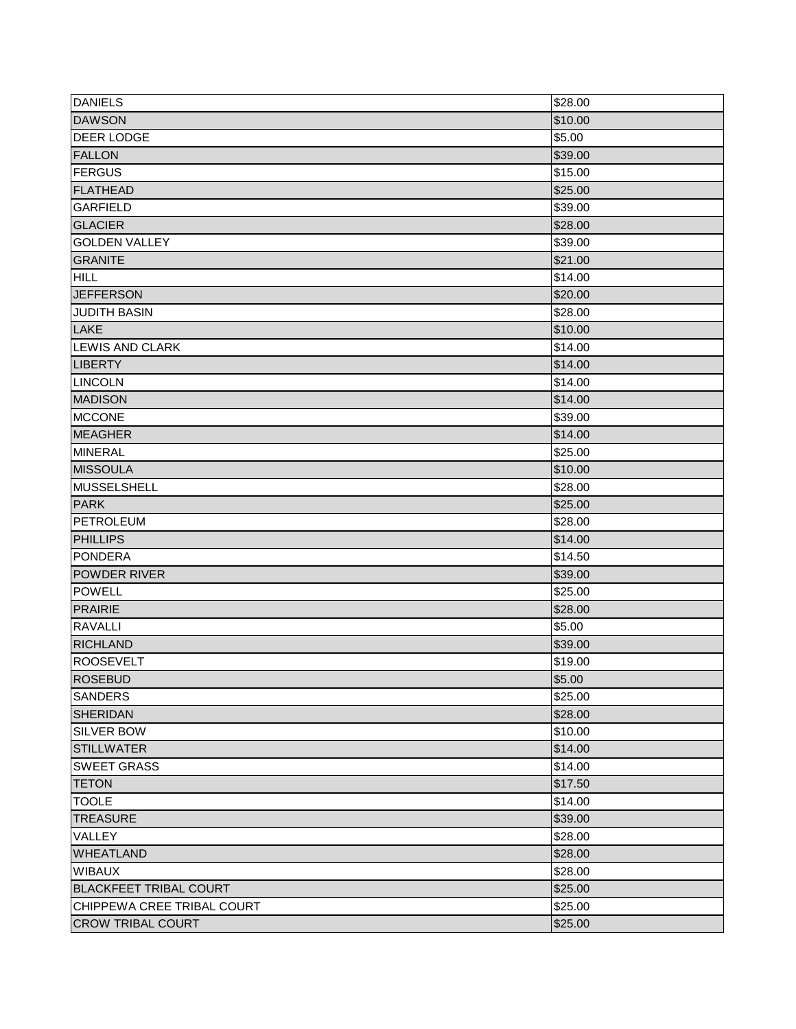| <b>DANIELS</b>                | \$28.00 |
|-------------------------------|---------|
| <b>DAWSON</b>                 | \$10.00 |
| <b>DEER LODGE</b>             | \$5.00  |
| <b>FALLON</b>                 | \$39.00 |
| FERGUS                        | \$15.00 |
| FLATHEAD                      | \$25.00 |
| <b>GARFIELD</b>               | \$39.00 |
| <b>GLACIER</b>                | \$28.00 |
| <b>GOLDEN VALLEY</b>          | \$39.00 |
| <b>GRANITE</b>                | \$21.00 |
| <b>HILL</b>                   | \$14.00 |
| <b>JEFFERSON</b>              | \$20.00 |
| <b>JUDITH BASIN</b>           | \$28.00 |
| <b>LAKE</b>                   | \$10.00 |
| LEWIS AND CLARK               | \$14.00 |
| <b>LIBERTY</b>                | \$14.00 |
| <b>LINCOLN</b>                | \$14.00 |
| <b>MADISON</b>                | \$14.00 |
| <b>MCCONE</b>                 | \$39.00 |
| <b>MEAGHER</b>                | \$14.00 |
| <b>MINERAL</b>                | \$25.00 |
| <b>MISSOULA</b>               | \$10.00 |
| MUSSELSHELL                   | \$28.00 |
| <b>PARK</b>                   | \$25.00 |
| <b>PETROLEUM</b>              | \$28.00 |
| <b>PHILLIPS</b>               | \$14.00 |
| <b>PONDERA</b>                | \$14.50 |
| POWDER RIVER                  | \$39.00 |
| <b>POWELL</b>                 | \$25.00 |
| <b>PRAIRIE</b>                | \$28.00 |
| <b>RAVALLI</b>                | \$5.00  |
| <b>RICHLAND</b>               | \$39.00 |
| <b>ROOSEVELT</b>              | \$19.00 |
| <b>ROSEBUD</b>                | \$5.00  |
| SANDERS                       | \$25.00 |
| <b>SHERIDAN</b>               | \$28.00 |
| <b>SILVER BOW</b>             | \$10.00 |
| <b>STILLWATER</b>             | \$14.00 |
| <b>SWEET GRASS</b>            | \$14.00 |
| <b>TETON</b>                  | \$17.50 |
| <b>TOOLE</b>                  | \$14.00 |
| <b>TREASURE</b>               | \$39.00 |
| <b>VALLEY</b>                 | \$28.00 |
| <b>WHEATLAND</b>              | \$28.00 |
| <b>WIBAUX</b>                 | \$28.00 |
| <b>BLACKFEET TRIBAL COURT</b> | \$25.00 |
| CHIPPEWA CREE TRIBAL COURT    | \$25.00 |
| <b>CROW TRIBAL COURT</b>      | \$25.00 |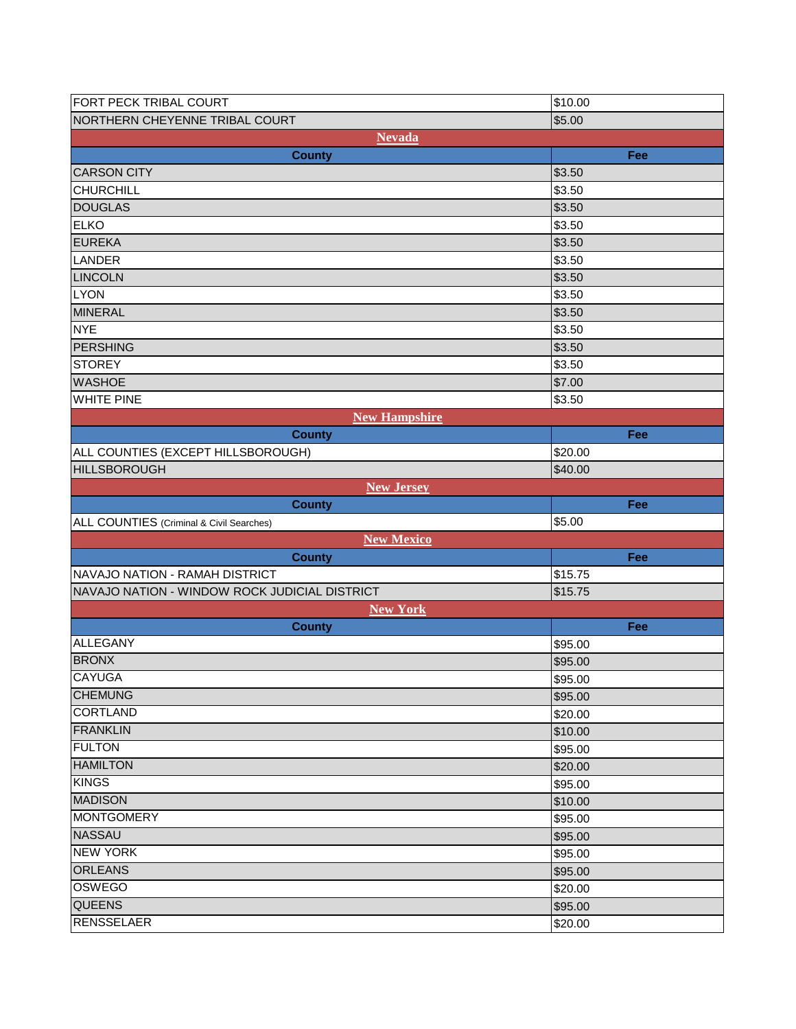| FORT PECK TRIBAL COURT                        | \$10.00 |
|-----------------------------------------------|---------|
| NORTHERN CHEYENNE TRIBAL COURT                | \$5.00  |
| <b>Nevada</b>                                 |         |
| <b>County</b>                                 | Fee     |
| <b>CARSON CITY</b>                            | \$3.50  |
| <b>CHURCHILL</b>                              | \$3.50  |
| <b>DOUGLAS</b>                                | \$3.50  |
| <b>ELKO</b>                                   | \$3.50  |
| <b>EUREKA</b>                                 | \$3.50  |
| LANDER                                        | \$3.50  |
| <b>LINCOLN</b>                                | \$3.50  |
| <b>LYON</b>                                   | \$3.50  |
| <b>MINERAL</b>                                | \$3.50  |
| <b>NYE</b>                                    | \$3.50  |
| PERSHING                                      | \$3.50  |
| <b>STOREY</b>                                 | \$3.50  |
| <b>WASHOE</b>                                 | \$7.00  |
| <b>WHITE PINE</b>                             | \$3.50  |
| <b>New Hampshire</b>                          |         |
| <b>County</b>                                 | Fee     |
| ALL COUNTIES (EXCEPT HILLSBOROUGH)            | \$20.00 |
| <b>HILLSBOROUGH</b>                           | \$40.00 |
| <b>New Jersey</b>                             |         |
| <b>County</b>                                 | Fee     |
|                                               |         |
| ALL COUNTIES (Criminal & Civil Searches)      | \$5.00  |
| New Mexico                                    |         |
| <b>County</b>                                 | Fee     |
| NAVAJO NATION - RAMAH DISTRICT                | \$15.75 |
| NAVAJO NATION - WINDOW ROCK JUDICIAL DISTRICT | \$15.75 |
| <b>New York</b>                               |         |
| <b>County</b>                                 | Fee     |
| <b>ALLEGANY</b>                               | \$95.00 |
| <b>BRONX</b>                                  | \$95.00 |
|                                               | \$95.00 |
| <b>CHEMUNG</b>                                | \$95.00 |
| <b>CORTLAND</b>                               | \$20.00 |
| <b>FRANKLIN</b>                               | \$10.00 |
| <b>FULTON</b>                                 | \$95.00 |
| <b>HAMILTON</b>                               | \$20.00 |
| CAYUGA<br><b>KINGS</b>                        | \$95.00 |
| <b>MADISON</b>                                | \$10.00 |
| <b>MONTGOMERY</b>                             | \$95.00 |
| <b>NASSAU</b>                                 | \$95.00 |
| <b>NEW YORK</b>                               | \$95.00 |
| <b>ORLEANS</b>                                | \$95.00 |
| OSWEGO                                        | \$20.00 |
| <b>QUEENS</b>                                 | \$95.00 |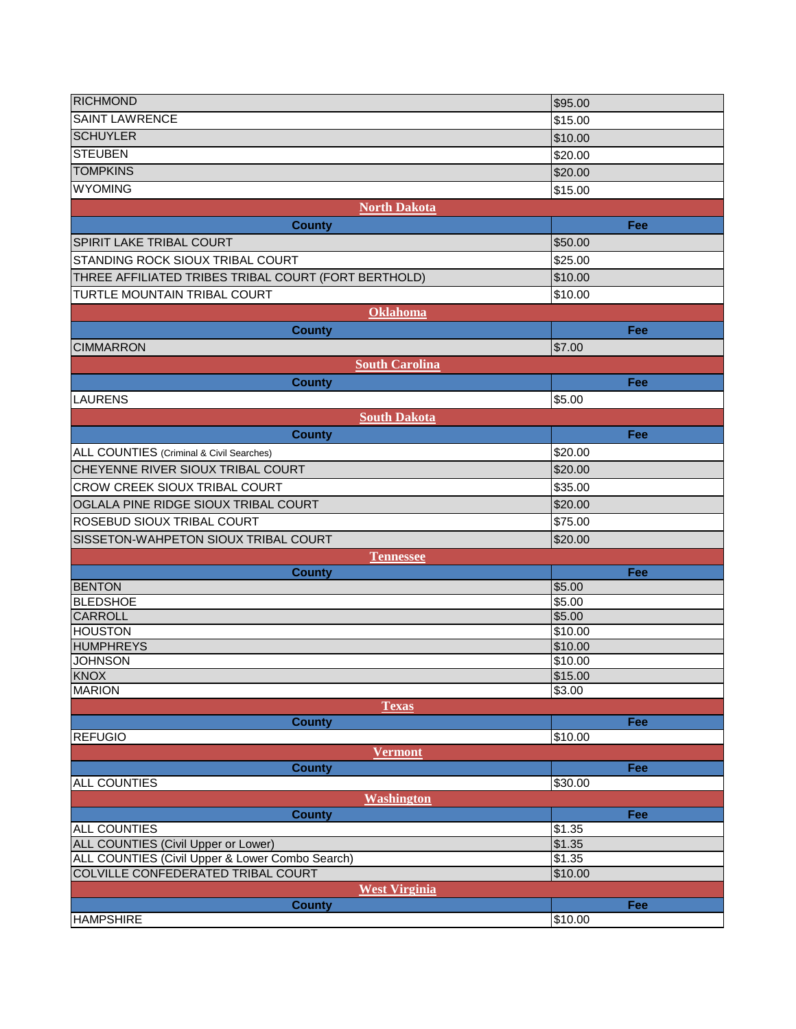| <b>RICHMOND</b>                                                   | \$95.00            |
|-------------------------------------------------------------------|--------------------|
| <b>SAINT LAWRENCE</b>                                             |                    |
|                                                                   | \$15.00            |
| <b>SCHUYLER</b>                                                   | \$10.00            |
| <b>STEUBEN</b>                                                    | \$20.00            |
| <b>TOMPKINS</b>                                                   | \$20.00            |
| <b>WYOMING</b>                                                    | \$15.00            |
| <b>North Dakota</b>                                               |                    |
| <b>County</b>                                                     | Fee                |
| <b>SPIRIT LAKE TRIBAL COURT</b>                                   | \$50.00            |
| STANDING ROCK SIOUX TRIBAL COURT                                  | \$25.00            |
| THREE AFFILIATED TRIBES TRIBAL COURT (FORT BERTHOLD)              | \$10.00            |
| TURTLE MOUNTAIN TRIBAL COURT                                      | \$10.00            |
|                                                                   |                    |
| Oklahoma                                                          |                    |
| <b>County</b>                                                     | Fee                |
| <b>CIMMARRON</b>                                                  | \$7.00             |
| <b>South Carolina</b>                                             |                    |
| <b>County</b>                                                     | Fee                |
| <b>LAURENS</b>                                                    | \$5.00             |
| <b>South Dakota</b>                                               |                    |
| <b>County</b>                                                     | Fee                |
| ALL COUNTIES (Criminal & Civil Searches)                          | \$20.00            |
| CHEYENNE RIVER SIOUX TRIBAL COURT                                 | \$20.00            |
| <b>CROW CREEK SIOUX TRIBAL COURT</b>                              | \$35.00            |
| OGLALA PINE RIDGE SIOUX TRIBAL COURT                              | \$20.00            |
| ROSEBUD SIOUX TRIBAL COURT                                        |                    |
|                                                                   | \$75.00            |
| SISSETON-WAHPETON SIOUX TRIBAL COURT                              | \$20.00            |
| <b>Tennessee</b>                                                  |                    |
| <b>County</b><br><b>BENTON</b>                                    | Fee<br>\$5.00      |
| <b>BLEDSHOE</b>                                                   | \$5.00             |
| <b>CARROLL</b>                                                    | \$5.00             |
| <b>HOUSTON</b>                                                    | \$10.00            |
| <b>HUMPHREYS</b>                                                  | \$10.00            |
| <b>JOHNSON</b>                                                    | \$10.00            |
| KNOX                                                              | \$15.00            |
| <b>MARION</b>                                                     | \$3.00             |
| <b>Texas</b>                                                      |                    |
| <b>County</b>                                                     | Fee                |
| <b>REFUGIO</b>                                                    | \$10.00            |
| <b>Vermont</b>                                                    |                    |
| <b>County</b>                                                     | Fee                |
| <b>ALL COUNTIES</b>                                               | \$30.00            |
| <b>Washington</b>                                                 |                    |
| <b>County</b>                                                     | Fee                |
| <b>ALL COUNTIES</b><br><b>ALL COUNTIES (Civil Upper or Lower)</b> | \$1.35<br>\$1.35   |
| ALL COUNTIES (Civil Upper & Lower Combo Search)                   | $$1.\overline{35}$ |
| COLVILLE CONFEDERATED TRIBAL COURT                                | \$10.00            |
| <b>West Virginia</b>                                              |                    |
| <b>County</b>                                                     | Fee                |
| <b>HAMPSHIRE</b>                                                  | \$10.00            |